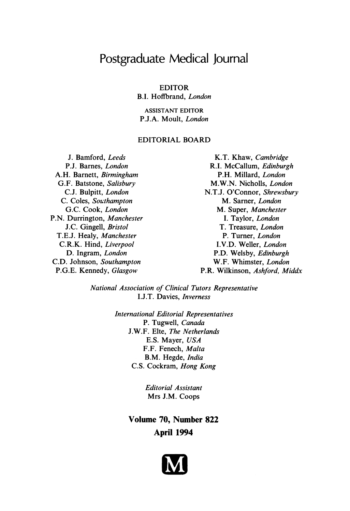# Postgraduate Medical Journal

# EDITOR

B.I. Hoffbrand, London

ASSISTANT EDITOR P.J.A. Moult, London

# EDITORIAL BOARD

J. Bamford, Leeds P.J. Barnes, London A.H. Barnett, Birmingham G.F. Batstone, Salisbury C.J. Bulpitt, London C. Coles, Southampton G.C. Cook, London P.N. Durrington, Manchester J.C. Gingell, Bristol T.E.J. Healy, Manchester C.R.K. Hind, Liverpool D. Ingram, London C.D. Johnson, Southampton P.G.E. Kennedy, Glasgow

K.T. Khaw, Cambridge R.I. McCallum, Edinburgh P.H. Millard, London M.W.N. Nicholls, London N.T.J. O'Connor, Shrewsbury M. Sarner, London M. Super, Manchester I. Taylor, London T. Treasure, London P. Turner, London I.V.D. Weller, London P.D. Welsby, Edinburgh W.F. Whimster, London P.R. Wilkinson, Ashford, Middx

National Association of Clinical Tutors Representative I.J.T. Davies, Inverness

> International Editorial Representatives P. Tugwell, Canada J.W.F. Elte, The Netherlands E.S. Mayer, USA F.F. Fenech, Malta B.M. Hegde, India C.S. Cockram, Hong Kong

> > Editorial Assistant Mrs J.M. Coops

Volume 70, Number 822 April 1994

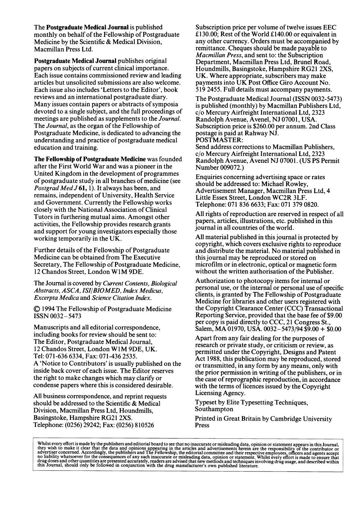The Postgraduate Medical Journal is published monthly on behalf of the Fellowship of Postgraduate Medicine by the Scientific & Medical Division, Macmillan Press Ltd.

Postgraduate Medical Journal publishes original papers on subjects of current clinical importance. Each issue contains commissioned review and leading articles but unsolicited submissions are also welcome. Each issue also includes 'Letters to the Editor', book reviews and an international postgraduate diary. Many issues contain papers or abstracts of symposia devoted to a single subject, and the full proceedings of meetings are published as supplements to the *Journal*. The Journal, as the organ of the Fellowship of Postgraduate Medicine, is dedicated to advancing the understanding and practice of postgraduate medical education and training.

The Fellowship of Postgraduate Medicine was founded after the First World War and was a pioneer in the United Kingdom in the development of programmes of postgraduate study in all branches of medicine (see Postgrad Med J 61, 1). It always has been, and remains, independent of University, Health Service and Government. Currently the Fellowship works closely with the National Association of Clinical Tutors in furthering mutual aims. Amongst other activities, the Fellowship provides research grants and support for young investigators especially those working temporarily in the UK.

Further details of the Fellowship of Postgraduate Medicine can be obtained from The Executive Secretary, The Fellowship of Postgraduate Medicine, <sup>12</sup> Chandos Street, London WIM 9DE.

The Journal is covered by Current Contents, Biological Abstracts, ASCA, ISI/BIOMED, Index Medicus, Excerpta Medica and Science Citation Index.

A) 1994 The Fellowship of Postgraduate Medicine ISSN 0032- 5473

Manuscripts and all editorial correspondence, including books for review should be sent to: The Editor, Postgraduate Medical Journal, <sup>12</sup> Chandos Street, London WIM 9DE, UK. Tel: 071-636 6334, Fax: 071-436 2535. A 'Notice to Contributors' is usually published on the inside back cover of each issue. The Editor reserves the right to make changes which may clarify or condense papers where this is considered desirable.

All business correspondence, and reprint requests should be addressed to the Scientific & Medical Division, Macmillan Press Ltd, Houndmills, Basingstoke, Hampshire RG21 2XS. Telephone: (0256) 29242; Fax: (0256) 810526

Subscription price per volume of twelve issues EEC £130.00; Rest of the World £140.00 or equivalent in any other currency. Orders must be accompanied by remittance. Cheques should be made payable to Macmillan Press, and sent to: the Subscription Department, Macmillan Press Ltd, Brunel Road, Houndmills, Basingstoke, Hampshire RG21 2XS, UK. Where appropriate, subscribers may make payments into UK Post Office Giro Account No. 519 2455. Full details must accompany payments.

The Postgraduate Medical Journal (ISSN 0032-5473) is published (monthly) by Macmillan Publishers Ltd, c/o Mercury Airfreight International Ltd, 2323 Randolph Avenue, Avenel, NJ 07001, USA. Subscription price is \$260.00 per annum. 2nd Class postage is paid at Rahway NJ. POSTMASTER:

Send address corrections to Macmillan Publishers, c/o Mercury Airfreight International Ltd, 2323 Randolph Avenue, Avenel NJ 07001. (US PS Permit Number 009072.)

Enquiries concerning advertising space or rates should be addressed to: Michael Rowley, Advertisement Manager, Macmillan Press Ltd, 4 Little Essex Street, London WC2R 3LF. Telephone: 071 836 6633; Fax: 071 379 0820.

All rights of reproduction are reserved in respect of all papers, articles, illustrations, etc. published in this journal in all countries of the world.

All material published in this journal is protected by copyright, which covers exclusive rights to reproduce and distribute the material. No material published in this journal may be reproduced or stored on microfilm or in electronic, optical or magnetic form without the written authorisation of the Publisher.

Authorization to photocopy items for internal or personal use, or the internal or personal use of specific clients, is granted by The Fellowship of Postgraduate Medicine for libraries and other users registered with the Copyright Clearance Center (CCC) Transactional Reporting Service, provided that the base fee of \$9.00 per copy is paid directly to CCC, 21 Congress St., Salem, MA 01970, USA. 0032-5473/94 \$9.00 + \$0.00

Apart from any fair dealing for the purposes of research or private study, or criticism or review, as permitted under the Copyright, Designs and Patent Act 1988, this publication may be reproduced, stored or transmitted, in any form by any means, only with the prior permission in writing of the publishers, or in the case of reprographic reproduction, in accordance with the terms of licences issued by the Copyright Licensing Agency.

Typeset by Elite Typesetting Techniques, Southampton

Printed in Great Britain by Cambridge University Press

Whilst every effort is made by the publishers and editorial board to see that no inaccurate or misleading data, opinion or statement appears in this Journal,<br>they wish to make it clear that the data and opinions appearing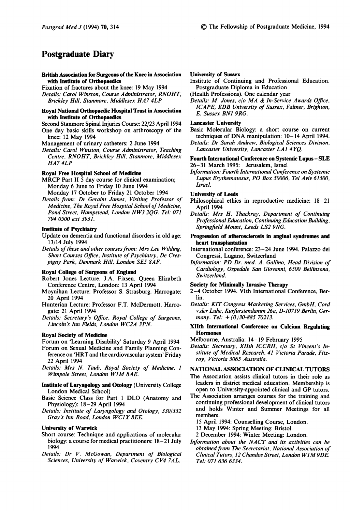# Postgraduate Diary

#### British Association for Surgeons of the Knee in Association with Institute of Orthopaedics

Fixation of fractures about the knee: <sup>19</sup> May 1994

Details: Carol Winston, Course Administrator, RNOHT, Brickley Hill, Stanmore, Middlesex HA7 4LP

#### Royal National Orthopaedic Hospital Trust in Association with Institute of Orthopaedics

Second Stanmore Spinal Injuries Course: 22/23 April 1994 One day basic skills workshop on arthroscopy of the knee: <sup>12</sup> May 1994

Management of urinary catheters: 2 June 1994

Details: Carol Winston, Course Administrator, Teaching Centre, RNOHT, Brickley Hill, Stanmore, Middlesex HA7 4LP

#### Royal Free Hospital School of Medicine

- MRCP Part II <sup>5</sup> day course for clinical examination; Monday 6 June to Friday 10 June 1994
- Monday 17 October to Friday <sup>21</sup> October 1994 Details from: Dr Geraint James, Visiting Professor of Medicine, The Royal Free Hospital School of Medicine, Pond Street, Hampstead, London NW3 2QG. Tel: <sup>071</sup> 794 0500 ext 3931.

## Institute of Psychiatry

- Update on dementia and functional disorders in old age: 13/14 July 1994
- Details of these and other courses from: Mrs Lee Wilding, Short Courses Office, Institute of Psychiatry, De Crespigny Park, Denmark Hill, London SE5 8AF.

#### Royal College of Surgeons of England

- Robert Jones Lecture. J.A. Fixsen. Queen Elizabeth Conference Centre, London: 13 April 1994
- Moynihan Lecture: Professor S. Strasburg. Harrogate: 20 April 1994
- Hunterian Lecture: Professor F.T. McDermott. Harrogate: 21 April 1994
- Details: Secretary's Office, Royal College of Surgeons, Lincoln's Inn Fields, London WC2A 3PN.

#### Royal Society of Medicine

Forum on 'Learning Disability' Saturday 9 April 1994

- Forum on Sexual Medicine and Family Planning Conference on 'HRT and the cardiovascular system' Friday 22 April 1994
- Details: Mrs N. Taub, Royal Society of Medicine, <sup>1</sup> Wimpole Street, London WIM 8AE.
- Institute of Laryngology and Otology (University College London Medical School)
- Basic Science Class for Part <sup>1</sup> DLO (Anatomy and Physiology): 18-29 April 1994
- Details: Institute of Laryngology and Otology, 330/332 Gray's Inn Road, London WCJX 8EE.

#### University of Warwick

- Short course: Technique and applications of molecular biology: a course for medical practitioners: 18–21 July 1994
- Details: Dr V. McGowan, Department of Biological Sciences, University of Warwick, Coventry CV4 7AL.

### University of Sussex

- Institute of Continuing and Professional Education. Postgraduate Diploma in Education
- (Health Professions). One calendar year
- Details: M. Jones,  $c/\sigma$  MA & In-Service Awards Office, ICAPE, EDB University of Sussex, Falmer, Brighton, E. Sussex BN1 9RG.

### Lancaster University

Basic Molecular Biology: a short course on current techniques of DNA manipulation: 10-14 April 1994.

Details: Dr Sarah Andrew, Biological Sciences Division, Lancaster University, Lancaster LA1 4YQ.

#### Fourth International Conference on Systemic Lupus- SLE 26-31 March 1995: Jerusalem, Israel

Information: Fourth International Conference on Systemic Lupus Erythematosus, PO Box 50006, Tel Aviv 61500, Israel.

#### University of Leeds

- Philosophical ethics in reproductive medicine: 18-21 April 1994
- Details: Mrs H. Thackray, Department of Continuing Professional Education, Continuing Education Building, Springfield Mount, Leeds LS2 9NG.
- Progression of atherosclerosis in anginal syndromes and heart transplantation
- International conference: 23-24 June 1994. Palazzo dei Congressi, Lugano, Switzerland
- Information: PD Dr. med. A. Gallino, Head Division of Cardiology, Ospedale San Giovanni, 6500 Bellinzona, Switzerland.

#### Society for Minimally Invasive Therapy

- 2-4 October 1994. VIth International Conference, Berlin.
- Details: KIT Congress Marketing Services, GmbH, Cord v.der Luhe, Kurfurstendamm 26a, D-10719 Berlin, Germany. Tel:  $+(0)30-88570213$ .

#### XIIth International Conference on Calcium Regulating Hormones

- Melbourne, Australia: 14-19 February 1995
- Details: Secretary, XIIth ICCRH, c/o St Vincent's Institute of Medical Research, 41 Victoria Parade, Fitzroy, Victoria 3065 Australia.

### NATIONAL ASSOCIATION OF CLINICAL TUTORS

- The Association assists clinical tutors in their role as leaders in district medical education. Membership is open to University-appointed clinical and GP tutors.
- The Association arranges courses for the training and continuing professional development of clinical tutors and holds Winter and Summer Meetings for all members.
	- 15 April 1994: Counselling Course, London.

<sup>13</sup> May 1994: Spring Meeting: Bristol.

- 2 December 1994: Winter Meeting: London.
- Information about the NACT and its activities can be obtained from The Secretariat, National Association of Clinical Tutors, <sup>12</sup> Chandos Street, London WIM9DE. Tel: 071 636 6334.